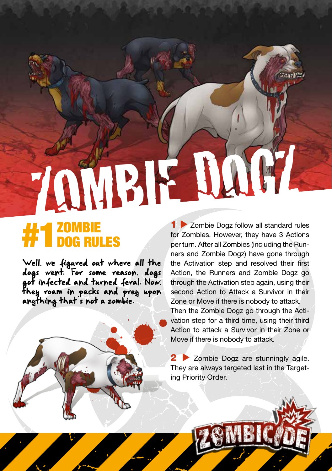## ZOMBIE D

## **#1** ZOMBIE<br>**#1** DOG RULES

they voam in packs and prey upon<br>
anything that s not a zombie.<br>
Then<br>
vation<br>
vation<br>
scribe<br>
move<br>
move<br>
ing Pi Well, we figured out where all the dogs went. For some reason, dogs got infected and turned feral. Now, anything that s not a zombie.

1 > Zombie Dogz follow all standard rules for Zombies. However, they have 3 Actions per turn. After all Zombies (including the Runners and Zombie Dogz) have gone through the Activation step and resolved their first Action, the Runners and Zombie Dogz go through the Activation step again, using their second Action to Attack a Survivor in their Zone or Move if there is nobody to attack. Then the Zombie Dogz go through the Activation step for a third time, using their third Action to attack a Survivor in their Zone or Move if there is nobody to attack.

2 Zombie Dogz are stunningly agile. They are always targeted last in the Targeting Priority Order.